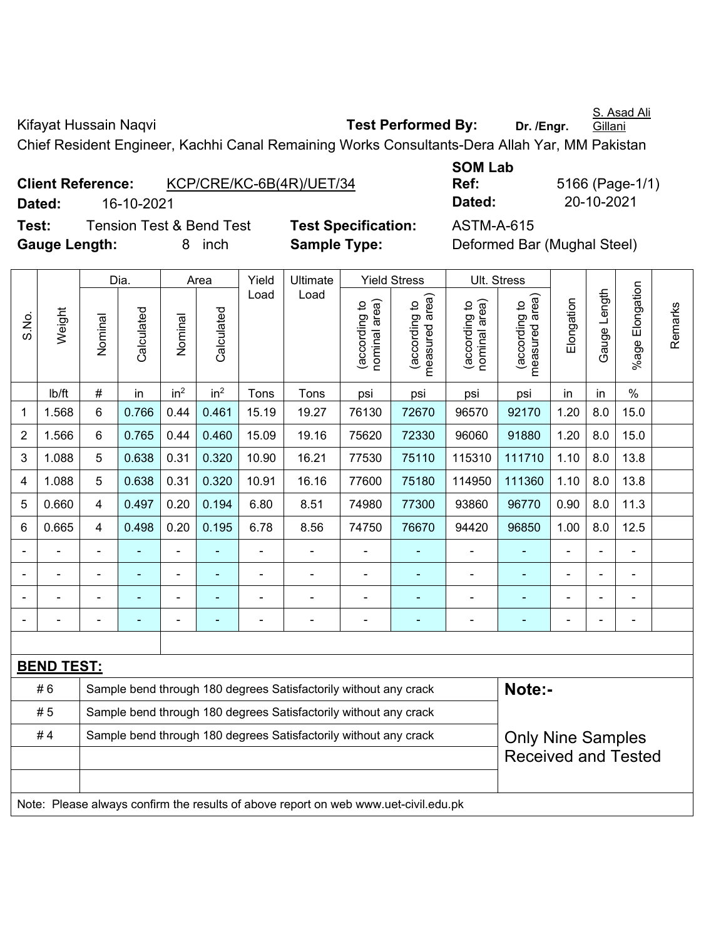Kifayat Hussain Naqvi **Test Performed By:** Dr. /Engr. **Gillani** Chief Resident Engineer, Kachhi Canal Remaining Works Consultants-Dera Allah Yar, MM Pakistan

**Client Reference:** KCP/CRE/KC-6B(4R)/UET/34 **Dated:** 16-10-2021 **Dated:** 20-10-2021 **Test:** Tension Test & Bend Test **Test Specification:** ASTM-A-615 **Gauge Length:** 8 inch **Sample Type:** Deformed Bar (Mughal Steel)

**SOM Lab Ref:** 5166 (Page-1/1)

|                |                   |                                                                                              | Dia.           | Area                         |                 | Yield | Ultimate                                                                            |                                | <b>Yield Stress</b>                | Ult. Stress                       |                                |                |              |                           |         |
|----------------|-------------------|----------------------------------------------------------------------------------------------|----------------|------------------------------|-----------------|-------|-------------------------------------------------------------------------------------|--------------------------------|------------------------------------|-----------------------------------|--------------------------------|----------------|--------------|---------------------------|---------|
| S.No.          | Weight            | Nominal                                                                                      | Calculated     | Nominal                      | Calculated      | Load  | Load                                                                                | nominal area)<br>(according to | area)<br>(according to<br>measured | area)<br>(according to<br>nominal | measured area<br>(according to | Elongation     | Gauge Length | Elongation<br>$%$ age $ $ | Remarks |
|                | lb/ft             | $\#$                                                                                         | in             | in <sup>2</sup>              | in <sup>2</sup> | Tons  | Tons                                                                                | psi                            | psi                                | psi                               | psi                            | in             | in           | $\%$                      |         |
| 1              | 1.568             | 6                                                                                            | 0.766          | 0.44                         | 0.461           | 15.19 | 19.27                                                                               | 76130                          | 72670                              | 96570                             | 92170                          | 1.20           | 8.0          | 15.0                      |         |
| $\overline{2}$ | 1.566             | 6                                                                                            | 0.765          | 0.44                         | 0.460           | 15.09 | 19.16                                                                               | 75620                          | 72330                              | 96060                             | 91880                          | 1.20           | 8.0          | 15.0                      |         |
| 3              | 1.088             | 5                                                                                            | 0.638          | 0.31                         | 0.320           | 10.90 | 16.21                                                                               | 77530                          | 75110                              | 115310                            | 111710                         | 1.10           | 8.0          | 13.8                      |         |
| 4              | 1.088             | 5                                                                                            | 0.638          | 0.31                         | 0.320           | 10.91 | 16.16                                                                               | 77600                          | 75180                              | 114950                            | 111360                         | 1.10           | 8.0          | 13.8                      |         |
| 5              | 0.660             | $\overline{4}$                                                                               | 0.497          | 0.20                         | 0.194           | 6.80  | 8.51                                                                                | 74980                          | 77300                              | 93860                             | 96770                          | 0.90           | 8.0          | 11.3                      |         |
| 6              | 0.665             | 4                                                                                            | 0.498          | 0.20                         | 0.195           | 6.78  | 8.56                                                                                | 74750                          | 76670                              | 94420                             | 96850                          | 1.00           | 8.0          | 12.5                      |         |
|                |                   | $\blacksquare$                                                                               |                | $\qquad \qquad \blacksquare$ | $\blacksquare$  | ä,    |                                                                                     | $\overline{a}$                 |                                    | $\overline{a}$                    | ٠                              | $\blacksquare$ |              | $\blacksquare$            |         |
|                |                   |                                                                                              | $\blacksquare$ | ä,                           | $\blacksquare$  |       |                                                                                     |                                |                                    | $\overline{a}$                    | $\blacksquare$                 |                |              | $\blacksquare$            |         |
|                |                   |                                                                                              |                |                              | ä,              |       |                                                                                     |                                |                                    | $\blacksquare$                    | $\blacksquare$                 |                |              | $\blacksquare$            |         |
|                |                   |                                                                                              |                |                              |                 |       |                                                                                     |                                |                                    |                                   |                                |                |              |                           |         |
|                |                   |                                                                                              |                |                              |                 |       |                                                                                     |                                |                                    |                                   |                                |                |              |                           |         |
|                | <b>BEND TEST:</b> |                                                                                              |                |                              |                 |       |                                                                                     |                                |                                    |                                   |                                |                |              |                           |         |
|                | #6                |                                                                                              |                |                              |                 |       | Sample bend through 180 degrees Satisfactorily without any crack                    |                                |                                    |                                   | Note:-                         |                |              |                           |         |
|                | #5                |                                                                                              |                |                              |                 |       | Sample bend through 180 degrees Satisfactorily without any crack                    |                                |                                    |                                   |                                |                |              |                           |         |
|                | #4                | Sample bend through 180 degrees Satisfactorily without any crack<br><b>Only Nine Samples</b> |                |                              |                 |       |                                                                                     |                                |                                    |                                   |                                |                |              |                           |         |
|                |                   |                                                                                              |                |                              |                 |       |                                                                                     |                                |                                    |                                   | <b>Received and Tested</b>     |                |              |                           |         |
|                |                   |                                                                                              |                |                              |                 |       |                                                                                     |                                |                                    |                                   |                                |                |              |                           |         |
|                |                   |                                                                                              |                |                              |                 |       | Note: Please always confirm the results of above report on web www.uet-civil.edu.pk |                                |                                    |                                   |                                |                |              |                           |         |

S. Asad Ali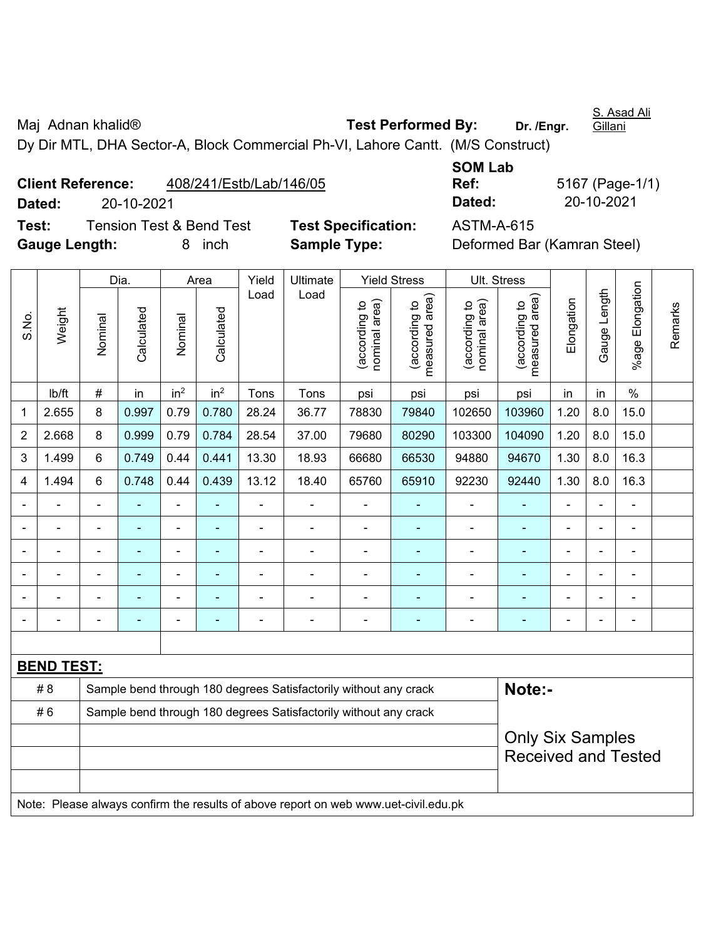Maj Adnan khalid<sup>®</sup> **Test Performed By:** Dr. /Engr. **Gillani** Dy Dir MTL, DHA Sector-A, Block Commercial Ph-VI, Lahore Cantt. (M/S Construct)

**Client Reference:** 408/241/Estb/Lab/146/05 **Dated:** 20-10-2021 **Dated:** 20-10-2021 **Test:** Tension Test & Bend Test **Test Specification:** ASTM-A-615

**Gauge Length:** 8 inch **Sample Type:** Deformed Bar (Kamran Steel)

**SOM Lab Ref:** 5167 (Page-1/1)

|                |                   |                          | Dia.           |                          | Area            | Yield          | Ultimate       |                                | <b>Yield Stress</b>             | Ult. Stress                    |                                    |                          |                 |                 |         |
|----------------|-------------------|--------------------------|----------------|--------------------------|-----------------|----------------|----------------|--------------------------------|---------------------------------|--------------------------------|------------------------------------|--------------------------|-----------------|-----------------|---------|
| S.No.          | Weight            | Nominal                  | Calculated     | Nominal                  | Calculated      | Load           | Load           | nominal area)<br>(according to | measured area)<br>(according to | nominal area)<br>(according to | area)<br>(according to<br>measured | Elongation               | Length<br>Gauge | %age Elongation | Remarks |
|                | lb/ft             | $\#$                     | in             | in <sup>2</sup>          | in <sup>2</sup> | Tons           | Tons           | psi                            | psi                             | psi                            | psi                                | in                       | in              | $\%$            |         |
| 1              | 2.655             | 8                        | 0.997          | 0.79                     | 0.780           | 28.24          | 36.77          | 78830                          | 79840                           | 102650                         | 103960                             | 1.20                     | 8.0             | 15.0            |         |
| $\overline{2}$ | 2.668             | 8                        | 0.999          | 0.79                     | 0.784           | 28.54          | 37.00          | 79680                          | 80290                           | 103300                         | 104090                             | 1.20                     | 8.0             | 15.0            |         |
| 3              | 1.499             | $6\phantom{a}$           | 0.749          | 0.44                     | 0.441           | 13.30          | 18.93          | 66680                          | 66530                           | 94880                          | 94670                              | 1.30                     | 8.0             | 16.3            |         |
| 4              | 1.494             | 6                        | 0.748          | 0.44                     | 0.439           | 13.12          | 18.40          | 65760                          | 65910                           | 92230                          | 92440                              | 1.30                     | 8.0             | 16.3            |         |
|                |                   | $\overline{\phantom{0}}$ | $\blacksquare$ | $\blacksquare$           | $\blacksquare$  |                | $\blacksquare$ | $\blacksquare$                 | $\blacksquare$                  |                                | $\blacksquare$                     | $\blacksquare$           | $\blacksquare$  | $\blacksquare$  |         |
|                |                   |                          |                |                          |                 |                | $\blacksquare$ |                                |                                 |                                |                                    | $\overline{\phantom{0}}$ | ۰               |                 |         |
|                |                   | $\blacksquare$           | ۰              |                          | ٠               |                | ۰              | $\blacksquare$                 |                                 |                                |                                    | $\blacksquare$           | $\blacksquare$  |                 |         |
|                |                   | $\blacksquare$           | ۰              | $\blacksquare$           | ۰               |                | $\blacksquare$ | $\blacksquare$                 |                                 |                                | ۰                                  | $\blacksquare$           | $\blacksquare$  | $\blacksquare$  |         |
|                |                   | $\blacksquare$           | ۰              | $\overline{\phantom{0}}$ | ۰               |                | $\blacksquare$ | $\blacksquare$                 | $\blacksquare$                  |                                | ۰                                  | $\blacksquare$           | $\blacksquare$  | $\blacksquare$  |         |
|                |                   |                          | $\blacksquare$ |                          |                 | $\overline{a}$ | $\overline{a}$ | $\overline{a}$                 |                                 | -                              | ۰                                  | $\blacksquare$           | $\blacksquare$  | $\blacksquare$  |         |
|                |                   |                          |                |                          |                 |                |                |                                |                                 |                                |                                    |                          |                 |                 |         |
|                | <b>BEND TEST:</b> |                          |                |                          |                 |                |                |                                |                                 |                                |                                    |                          |                 |                 |         |

| # 8 | Sample bend through 180 degrees Satisfactorily without any crack                    | Note:-                     |
|-----|-------------------------------------------------------------------------------------|----------------------------|
| #6  | Sample bend through 180 degrees Satisfactorily without any crack                    |                            |
|     |                                                                                     | <b>Only Six Samples</b>    |
|     |                                                                                     | <b>Received and Tested</b> |
|     |                                                                                     |                            |
|     | Note: Please always confirm the results of above report on web www.uet-civil.edu.pk |                            |

S. Asad Ali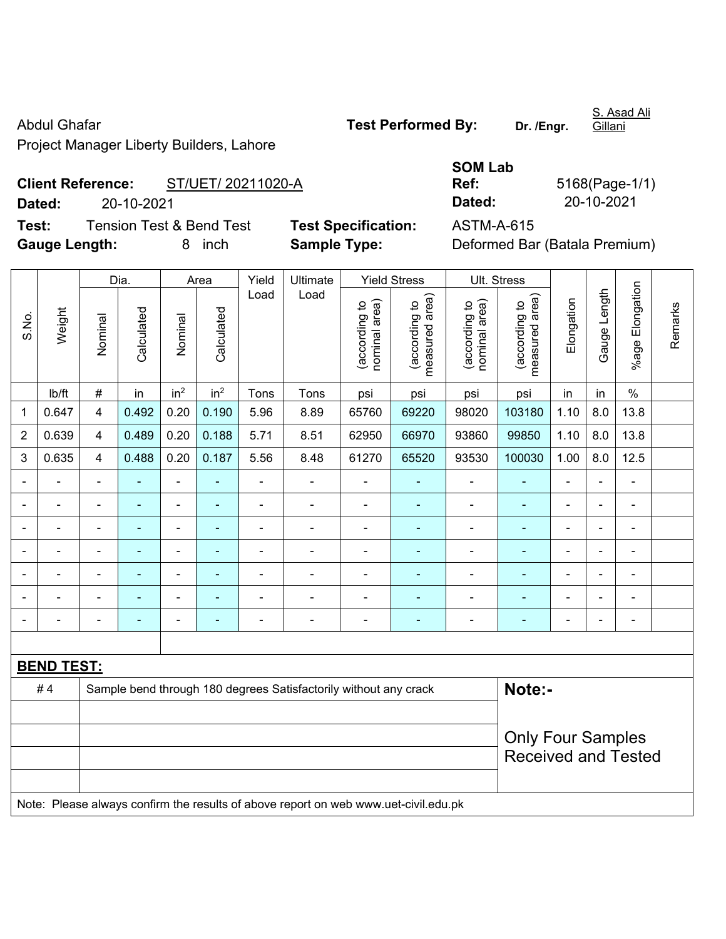Abdul Ghafar **Test Performed By:** Dr. /Engr.

S. Asad Ali Gillani

Project Manager Liberty Builders, Lahore

# **Client Reference:** ST/UET/ 20211020-A **Dated:** 20-10-2021 **Dated:** 20-10-2021

**Test:** Tension Test & Bend Test **Test Specification:** ASTM-A-615 **Gauge Length:** 8 inch **Sample Type:** Deformed Bar (Batala Premium)

| <b>SOM Lab</b> |           |
|----------------|-----------|
| Ref:           | 5168(P    |
| Dated:         | $20 - 10$ |

<sup>2</sup>age-1/1)

|                |                          |                         | Dia.           |                 | Area                     | Yield | <b>Ultimate</b>                                                                     |                                | <b>Yield Stress</b>             |                                | Ult. Stress                                            |            |                          |                 |         |
|----------------|--------------------------|-------------------------|----------------|-----------------|--------------------------|-------|-------------------------------------------------------------------------------------|--------------------------------|---------------------------------|--------------------------------|--------------------------------------------------------|------------|--------------------------|-----------------|---------|
| S.No.          | Weight                   | Nominal                 | Calculated     | Nominal         | Calculated               | Load  | Load                                                                                | (according to<br>nominal area) | (according to<br>measured area) | (according to<br>nominal area) | (according to<br>measured area)                        | Elongation | Gauge Length             | %age Elongation | Remarks |
|                | Ib/ft                    | $\#$                    | in             | in <sup>2</sup> | in <sup>2</sup>          | Tons  | Tons                                                                                | psi                            | psi                             | psi                            | psi                                                    | in         | in                       | $\%$            |         |
| $\mathbf{1}$   | 0.647                    | $\overline{\mathbf{4}}$ | 0.492          | 0.20            | 0.190                    | 5.96  | 8.89                                                                                | 65760                          | 69220                           | 98020                          | 103180                                                 | 1.10       | 8.0                      | 13.8            |         |
| $\overline{2}$ | 0.639                    | $\overline{4}$          | 0.489          | 0.20            | 0.188                    | 5.71  | 8.51                                                                                | 62950                          | 66970                           | 93860                          | 99850                                                  | 1.10       | 8.0                      | 13.8            |         |
| 3              | 0.635                    | $\overline{4}$          | 0.488          | 0.20            | 0.187                    | 5.56  | 8.48                                                                                | 61270                          | 65520                           | 93530                          | 100030                                                 | 1.00       | 8.0                      | 12.5            |         |
|                |                          | $\blacksquare$          | ÷              | $\blacksquare$  |                          |       | $\blacksquare$                                                                      | $\blacksquare$                 |                                 | $\blacksquare$                 | $\blacksquare$                                         | ÷,         | $\blacksquare$           | $\blacksquare$  |         |
|                | $\overline{\phantom{a}}$ | $\blacksquare$          | $\blacksquare$ | $\blacksquare$  | $\blacksquare$           | ÷     | $\blacksquare$                                                                      | $\blacksquare$                 | ÷                               | $\blacksquare$                 | $\blacksquare$                                         | ÷,         | $\blacksquare$           | $\blacksquare$  |         |
|                | ä,                       | $\blacksquare$          | $\blacksquare$ | $\blacksquare$  | $\overline{\phantom{a}}$ | ÷     | ä,                                                                                  | $\blacksquare$                 | ÷                               | $\blacksquare$                 | $\blacksquare$                                         | ä,         | $\blacksquare$           | ÷,              |         |
|                |                          |                         | $\blacksquare$ | ä,              |                          |       | $\blacksquare$                                                                      |                                |                                 | $\blacksquare$                 | ÷,                                                     |            |                          |                 |         |
|                |                          | $\blacksquare$          | $\blacksquare$ | ÷               |                          | ÷     | $\frac{1}{2}$                                                                       |                                |                                 | ÷                              | ä,                                                     | ä,         | L,                       | ÷,              |         |
|                |                          | -                       | $\blacksquare$ | ÷               |                          | -     | $\frac{1}{2}$                                                                       | $\blacksquare$                 |                                 | ÷                              | ٠                                                      | Ē,         | $\overline{\phantom{a}}$ | ÷,              |         |
|                |                          | $\blacksquare$          | $\blacksquare$ | $\blacksquare$  | $\overline{\phantom{a}}$ | ÷     | $\qquad \qquad \blacksquare$                                                        | $\overline{\phantom{a}}$       | ÷                               | ۰                              | $\blacksquare$                                         | ۰          | $\overline{\phantom{a}}$ | ÷,              |         |
|                |                          |                         |                |                 |                          |       |                                                                                     |                                |                                 |                                |                                                        |            |                          |                 |         |
|                | <b>BEND TEST:</b>        |                         |                |                 |                          |       |                                                                                     |                                |                                 |                                |                                                        |            |                          |                 |         |
|                | #4                       |                         |                |                 |                          |       | Sample bend through 180 degrees Satisfactorily without any crack                    |                                |                                 |                                | Note:-                                                 |            |                          |                 |         |
|                |                          |                         |                |                 |                          |       |                                                                                     |                                |                                 |                                |                                                        |            |                          |                 |         |
|                |                          |                         |                |                 |                          |       |                                                                                     |                                |                                 |                                | <b>Only Four Samples</b><br><b>Received and Tested</b> |            |                          |                 |         |
|                |                          |                         |                |                 |                          |       |                                                                                     |                                |                                 |                                |                                                        |            |                          |                 |         |
|                |                          |                         |                |                 |                          |       | Note: Please always confirm the results of above report on web www.uet-civil.edu.pk |                                |                                 |                                |                                                        |            |                          |                 |         |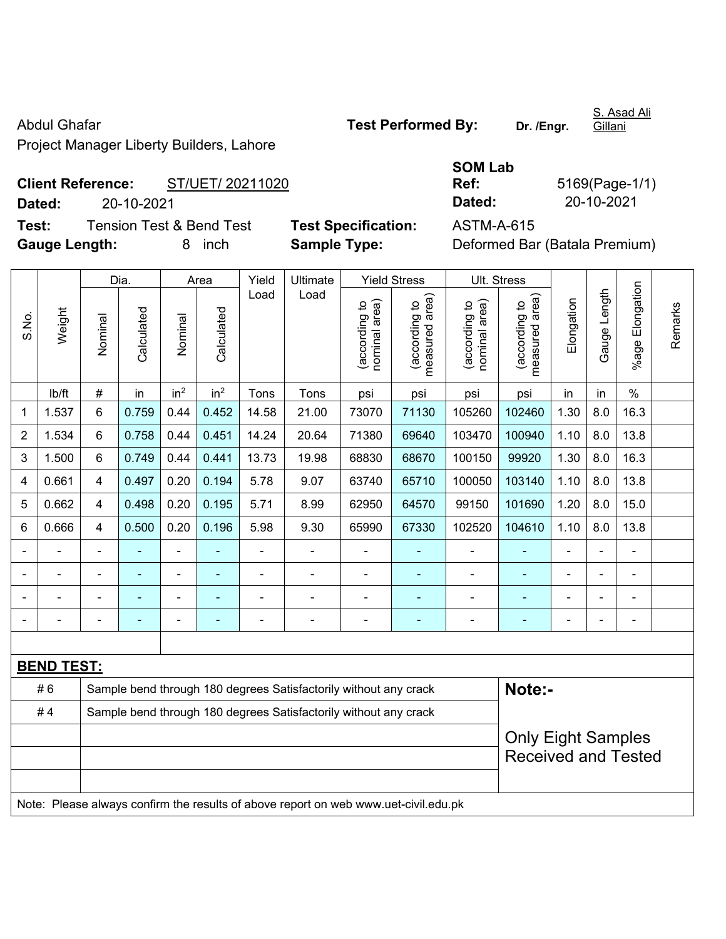Abdul Ghafar **Test Performed By:** Dr. /Engr.

S. Asad Ali Gillani

Project Manager Liberty Builders, Lahore

## **Client Reference:** ST/UET/ 20211020 **Dated:** 20-10-2021 **Dated:** 20-10-2021 **Test:** Tension Test & Bend Test **Test Specification:** ASTM-A-615

**Gauge Length:** 8 inch **Sample Type:** Deformed Bar (Batala Premium)

| <b>SOM Lab</b> |                |
|----------------|----------------|
| Ref:           | 5169(Page-1/1) |
| Dated:         | 20-10-2021     |

|                          |                   | Dia.    |            |                 | Area                                                             | Yield | Ultimate                                                                            | <b>Yield Stress</b>            |                                               | Ult. Stress                    |                                                         |                |              |                 |         |
|--------------------------|-------------------|---------|------------|-----------------|------------------------------------------------------------------|-------|-------------------------------------------------------------------------------------|--------------------------------|-----------------------------------------------|--------------------------------|---------------------------------------------------------|----------------|--------------|-----------------|---------|
| S.No.                    | Weight            | Nominal | Calculated | Nominal         | Calculated                                                       | Load  | Load                                                                                | (according to<br>nominal area) | (according to  <br>measured area)<br>measured | nominal area)<br>(according to | (according to<br>measured area)                         | Elongation     | Gauge Length | %age Elongation | Remarks |
|                          | lb/ft             | $\#$    | in         | in <sup>2</sup> | in <sup>2</sup>                                                  | Tons  | Tons                                                                                | psi                            | psi                                           | psi                            | psi                                                     | in             | in           | $\%$            |         |
| 1                        | 1.537             | 6       | 0.759      | 0.44            | 0.452                                                            | 14.58 | 21.00                                                                               | 73070                          | 71130                                         | 105260                         | 102460                                                  | 1.30           | 8.0          | 16.3            |         |
| $\overline{2}$           | 1.534             | 6       | 0.758      | 0.44            | 0.451                                                            | 14.24 | 20.64                                                                               | 71380                          | 69640                                         | 103470                         | 100940                                                  | 1.10           | 8.0          | 13.8            |         |
| 3                        | 1.500             | 6       | 0.749      | 0.44            | 0.441                                                            | 13.73 | 19.98                                                                               | 68830                          | 68670                                         | 100150                         | 99920                                                   | 1.30           | 8.0          | 16.3            |         |
| 4                        | 0.661             | 4       | 0.497      | 0.20            | 0.194                                                            | 5.78  | 9.07                                                                                | 63740                          | 65710                                         | 100050                         | 103140                                                  | 1.10           | 8.0          | 13.8            |         |
| 5                        | 0.662             | 4       | 0.498      | 0.20            | 0.195                                                            | 5.71  | 8.99                                                                                | 62950                          | 64570                                         | 99150                          | 101690                                                  | 1.20           | 8.0          | 15.0            |         |
| 6                        | 0.666             | 4       | 0.500      | 0.20            | 0.196                                                            | 5.98  | 9.30                                                                                | 65990                          | 67330                                         | 102520                         | 104610                                                  | 13.8           |              |                 |         |
|                          |                   |         |            | ä,              |                                                                  |       | L,                                                                                  |                                |                                               | ä,                             | $\blacksquare$                                          |                |              |                 |         |
|                          |                   |         |            | $\blacksquare$  |                                                                  |       | $\blacksquare$                                                                      | $\blacksquare$                 |                                               |                                |                                                         |                |              |                 |         |
|                          |                   |         | ۰          | $\overline{a}$  |                                                                  |       | $\overline{\phantom{0}}$                                                            | $\blacksquare$                 |                                               | ٠                              | ۰                                                       |                |              |                 |         |
| $\overline{\phantom{a}}$ |                   |         | ۰          | ÷,              |                                                                  |       | ä,                                                                                  | $\blacksquare$                 | ٠                                             | ä,                             | $\blacksquare$                                          | $\blacksquare$ |              | $\blacksquare$  |         |
|                          |                   |         |            |                 |                                                                  |       |                                                                                     |                                |                                               |                                |                                                         |                |              |                 |         |
|                          | <b>BEND TEST:</b> |         |            |                 |                                                                  |       |                                                                                     |                                |                                               |                                |                                                         |                |              |                 |         |
|                          | #6                |         |            |                 |                                                                  |       | Sample bend through 180 degrees Satisfactorily without any crack                    |                                |                                               |                                | Note:-                                                  |                |              |                 |         |
|                          | #4                |         |            |                 | Sample bend through 180 degrees Satisfactorily without any crack |       |                                                                                     |                                |                                               |                                |                                                         |                |              |                 |         |
|                          |                   |         |            |                 |                                                                  |       |                                                                                     |                                |                                               |                                | <b>Only Eight Samples</b><br><b>Received and Tested</b> |                |              |                 |         |
|                          |                   |         |            |                 |                                                                  |       | Note: Please always confirm the results of above report on web www.uet-civil.edu.pk |                                |                                               |                                |                                                         |                |              |                 |         |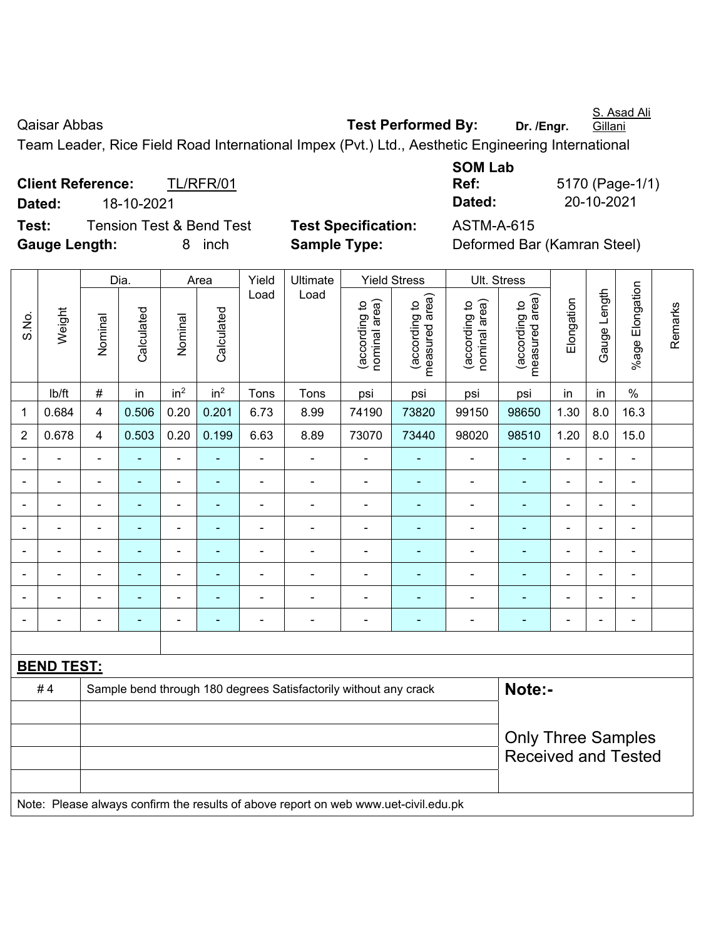S. Asad Ali **Gillani** 

Qaisar Abbas **Test Performed By:** Dr. /Engr.

Team Leader, Rice Field Road International Impex (Pvt.) Ltd., Aesthetic Engineering International

**Client Reference:** TL/RFR/01 **Dated:** 18-10-2021 **Dated:** 20-10-2021 **Test:** Tension Test & Bend Test **Test Specification:** ASTM-A-615 **Gauge Length:** 8 inch **Sample Type:** Deformed Bar (Kamran Steel)

**SOM Lab Ref:** 5170 (Page-1/1)

|                |                   |                           | Dia.                     |                          | Area            | Yield          | Ultimate                                                                            |                                | <b>Yield Stress</b>             |                                | Ult. Stress                     |                |                          |                 |         |
|----------------|-------------------|---------------------------|--------------------------|--------------------------|-----------------|----------------|-------------------------------------------------------------------------------------|--------------------------------|---------------------------------|--------------------------------|---------------------------------|----------------|--------------------------|-----------------|---------|
| S.No.          | Weight            | Nominal                   | Calculated               | Nominal                  | Calculated      | Load           | Load                                                                                | nominal area)<br>(according to | (according to<br>measured area) | nominal area)<br>(according to | measured area)<br>(according to | Elongation     | Gauge Length             | %age Elongation | Remarks |
|                | lb/ft             | #                         | in                       | in <sup>2</sup>          | in <sup>2</sup> | Tons           | Tons                                                                                | psi                            | psi                             | psi                            | psi                             | in             | in                       | $\%$            |         |
| 1              | 0.684             | 4                         | 0.506                    | 0.20                     | 0.201           | 6.73           | 8.99                                                                                | 74190                          | 73820                           | 99150                          | 98650                           | 1.30           | 8.0                      | 16.3            |         |
| $\overline{2}$ | 0.678             | 4                         | 0.503                    | 0.20                     | 0.199           | 6.63           | 8.89                                                                                | 73070                          | 73440                           | 98020                          | 98510                           | 1.20           | 8.0                      | 15.0            |         |
|                | ä,                | ä,                        | ÷,                       | ÷,                       | ۰               | ä,             | ÷                                                                                   |                                |                                 | ÷,                             | $\blacksquare$                  | L,             | $\overline{\phantom{0}}$ | ÷,              |         |
|                |                   |                           | $\overline{\phantom{a}}$ | $\blacksquare$           |                 |                | ä,                                                                                  |                                |                                 | $\blacksquare$                 | $\blacksquare$                  |                |                          |                 |         |
|                | $\overline{a}$    |                           | -                        | ۰                        |                 |                |                                                                                     |                                |                                 | ÷                              |                                 | ÷              | $\blacksquare$           | ۰               |         |
| ٠              | $\overline{a}$    |                           | ۰                        | ۰                        |                 | $\blacksquare$ | $\blacksquare$                                                                      |                                |                                 | -                              | $\blacksquare$                  | ä,             | $\frac{1}{2}$            | ÷               |         |
| $\blacksquare$ | $\blacksquare$    | $\blacksquare$            | ۰                        | $\overline{\phantom{0}}$ | ۰               | $\blacksquare$ | $\blacksquare$                                                                      | $\blacksquare$                 | $\overline{\phantom{a}}$        | ۰                              | $\blacksquare$                  | ä,             | $\frac{1}{2}$            | ÷               |         |
|                | ä,                | $\blacksquare$            | ٠                        | ÷,                       | $\blacksquare$  | $\blacksquare$ | ÷                                                                                   | Ē,                             | $\blacksquare$                  | ÷,                             | $\blacksquare$                  | $\blacksquare$ | ä,                       | ÷,              |         |
|                |                   |                           | $\blacksquare$           | $\blacksquare$           |                 |                | $\blacksquare$                                                                      | $\blacksquare$                 |                                 | ÷                              | $\blacksquare$                  |                | ä,                       | $\blacksquare$  |         |
|                |                   |                           |                          | ÷                        |                 | $\blacksquare$ | $\blacksquare$                                                                      |                                |                                 | ÷                              |                                 | ä,             | $\blacksquare$           | $\blacksquare$  |         |
|                |                   |                           |                          |                          |                 |                |                                                                                     |                                |                                 |                                |                                 |                |                          |                 |         |
|                | <b>BEND TEST:</b> |                           |                          |                          |                 |                |                                                                                     |                                |                                 |                                |                                 |                |                          |                 |         |
|                | #4                |                           |                          |                          |                 |                | Sample bend through 180 degrees Satisfactorily without any crack                    |                                |                                 |                                | Note:-                          |                |                          |                 |         |
|                |                   |                           |                          |                          |                 |                |                                                                                     |                                |                                 |                                |                                 |                |                          |                 |         |
|                |                   | <b>Only Three Samples</b> |                          |                          |                 |                |                                                                                     |                                |                                 |                                |                                 |                |                          |                 |         |
|                |                   |                           |                          |                          |                 |                |                                                                                     |                                |                                 |                                | <b>Received and Tested</b>      |                |                          |                 |         |
|                |                   |                           |                          |                          |                 |                | Note: Please always confirm the results of above report on web www.uet-civil.edu.pk |                                |                                 |                                |                                 |                |                          |                 |         |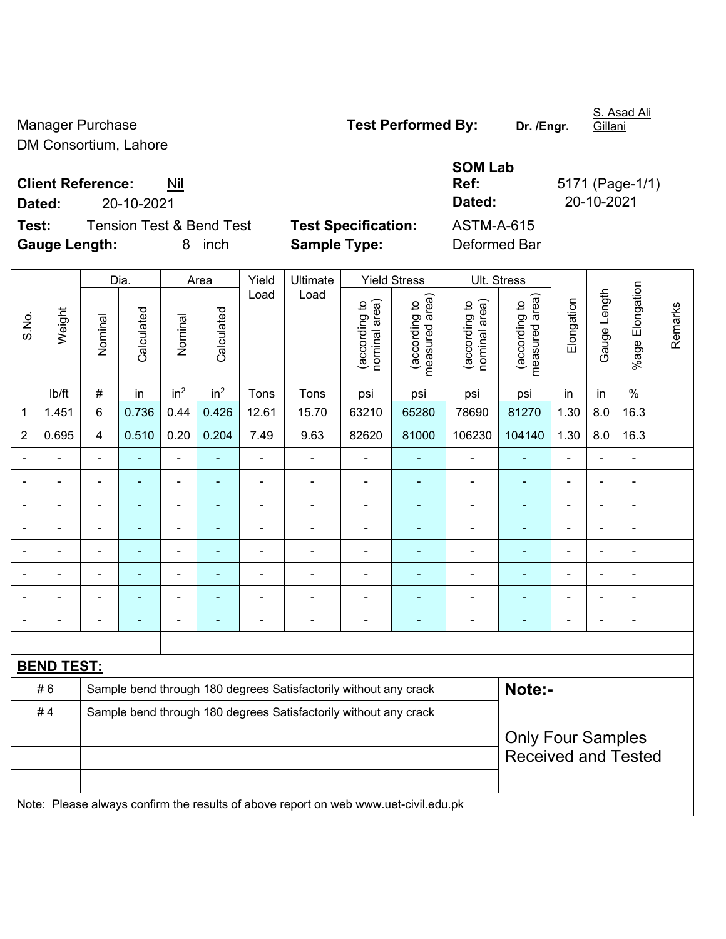DM Consortium, Lahore

Manager Purchase **Test Performed By:** Dr. /Engr.

S. Asad Ali Gillani

**Client Reference:** Nil

**Dated:** 20-10-2021 **Dated:** 20-10-2021

**Test:** Tension Test & Bend Test **Test Specification: Gauge Length:** 8 inch **Sample Type:** Deformed Bar

| <b>SOM Lab</b> |                 |
|----------------|-----------------|
| Ref:           | 5171 (Page-1/1) |
| Dated:         | 20-10-2021      |
| ASTM-A-615     |                 |
| Defermed Der   |                 |

|                |                                                                                     |                          | Dia.           |                 | Area            | Yield                    | Ultimate                                                         |                                | <b>Yield Stress</b>             |                                | Ult. Stress                     |                |                          |                              |         |
|----------------|-------------------------------------------------------------------------------------|--------------------------|----------------|-----------------|-----------------|--------------------------|------------------------------------------------------------------|--------------------------------|---------------------------------|--------------------------------|---------------------------------|----------------|--------------------------|------------------------------|---------|
| S.No.          | Weight                                                                              | Nominal                  | Calculated     | Nominal         | Calculated      | Load                     | Load                                                             | nominal area)<br>(according to | measured area)<br>(according to | nominal area)<br>(according to | measured area)<br>(according to | Elongation     | Gauge Length             | %age Elongation              | Remarks |
|                | lb/ft                                                                               | $\#$                     | in             | in <sup>2</sup> | in <sup>2</sup> | Tons                     | Tons                                                             | psi                            | psi                             | psi                            | psi                             | in             | in                       | $\frac{0}{0}$                |         |
| 1              | 1.451                                                                               | 6                        | 0.736          | 0.44            | 0.426           | 12.61                    | 15.70                                                            | 63210                          | 65280                           | 78690                          | 81270                           | 1.30           | 8.0                      | 16.3                         |         |
| $\overline{2}$ | 0.695                                                                               | $\overline{4}$           | 0.510          | 0.20            | 0.204           | 7.49                     | 9.63                                                             | 82620                          | 81000                           | 106230                         | 104140                          | 1.30           | 8.0                      | 16.3                         |         |
|                |                                                                                     |                          |                | $\overline{a}$  |                 | ÷                        |                                                                  |                                |                                 |                                | ٠                               |                |                          |                              |         |
|                |                                                                                     |                          | $\blacksquare$ | $\blacksquare$  |                 | ä,                       | $\blacksquare$                                                   | L,                             |                                 | Ē,                             | ۰                               |                |                          | ä,                           |         |
|                |                                                                                     | $\overline{\phantom{0}}$ |                | $\blacksquare$  | $\overline{a}$  | ä,                       | $\blacksquare$                                                   | Ē,                             | $\overline{\phantom{a}}$        | $\qquad \qquad \blacksquare$   | ۰                               | $\blacksquare$ | $\blacksquare$           | ۰                            |         |
|                |                                                                                     | $\blacksquare$           | ٠              | $\blacksquare$  |                 | ä,                       | $\blacksquare$                                                   | $\blacksquare$                 | $\blacksquare$                  | $\blacksquare$                 | ۰                               | $\blacksquare$ | $\overline{\phantom{0}}$ | $\blacksquare$               |         |
|                | ÷                                                                                   | $\blacksquare$           | ÷,             | $\blacksquare$  | ä,              | $\overline{\phantom{a}}$ | ÷,                                                               | L,                             | $\blacksquare$                  | $\blacksquare$                 | ÷                               | $\blacksquare$ | $\overline{\phantom{0}}$ | ä,                           |         |
|                |                                                                                     |                          | $\blacksquare$ | $\blacksquare$  | ÷               | L,                       | $\blacksquare$                                                   |                                | $\blacksquare$                  | $\blacksquare$                 | ۰                               |                |                          | $\qquad \qquad \blacksquare$ |         |
|                |                                                                                     |                          |                |                 |                 |                          |                                                                  |                                |                                 | $\blacksquare$                 |                                 |                |                          | ÷.                           |         |
|                |                                                                                     |                          |                | ÷               |                 | ä,                       | $\blacksquare$                                                   |                                |                                 | ۰                              | ۰                               |                |                          | ÷                            |         |
|                |                                                                                     |                          |                |                 |                 |                          |                                                                  |                                |                                 |                                |                                 |                |                          |                              |         |
|                | <b>BEND TEST:</b>                                                                   |                          |                |                 |                 |                          |                                                                  |                                |                                 |                                |                                 |                |                          |                              |         |
|                | #6                                                                                  |                          |                |                 |                 |                          | Sample bend through 180 degrees Satisfactorily without any crack |                                |                                 |                                | Note:-                          |                |                          |                              |         |
|                | #4                                                                                  |                          |                |                 |                 |                          | Sample bend through 180 degrees Satisfactorily without any crack |                                |                                 |                                |                                 |                |                          |                              |         |
|                |                                                                                     |                          |                |                 |                 |                          |                                                                  |                                |                                 |                                | <b>Only Four Samples</b>        |                |                          |                              |         |
|                |                                                                                     |                          |                |                 |                 |                          |                                                                  |                                |                                 |                                | <b>Received and Tested</b>      |                |                          |                              |         |
|                |                                                                                     |                          |                |                 |                 |                          |                                                                  |                                |                                 |                                |                                 |                |                          |                              |         |
|                | Note: Please always confirm the results of above report on web www.uet-civil.edu.pk |                          |                |                 |                 |                          |                                                                  |                                |                                 |                                |                                 |                |                          |                              |         |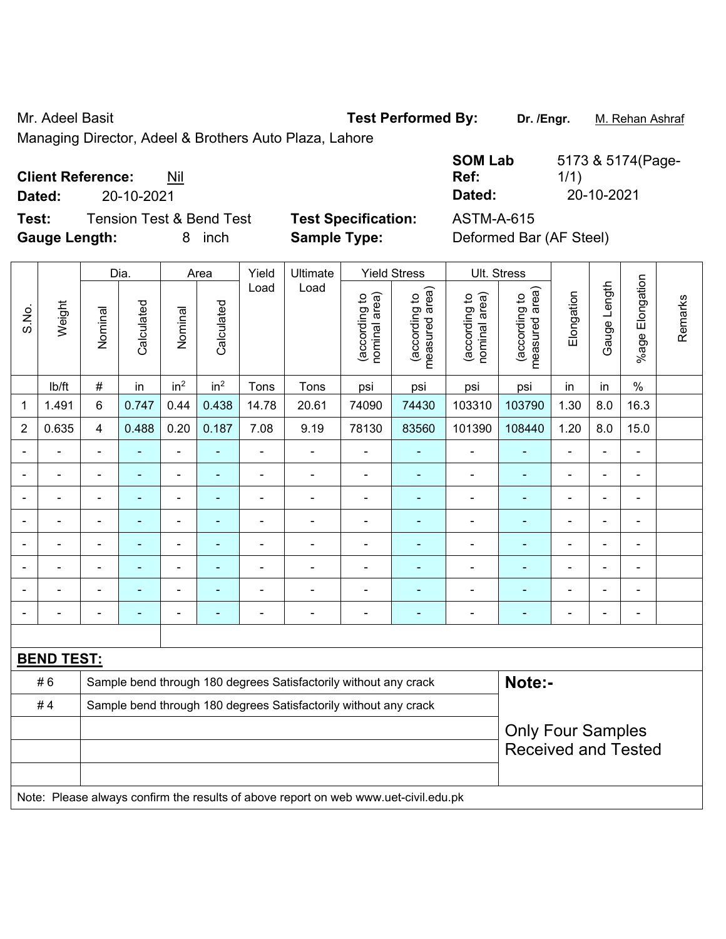Mr. Adeel Basit **Test Performed By:** Dr. /Engr. M. Rehan Ashraf

Managing Director, Adeel & Brothers Auto Plaza, Lahore

### **Client Reference:** Nil

**Dated:** 20-10-2021 **Dated:** 20-10-2021

**Test:** Tension Test & Bend Test **Test Specification:** ASTM-A-615 **Gauge Length:** 8 inch **Sample Type:** Deformed Bar (AF Steel)

| <b>SOM Lab</b> | 5173 & 5174(Page- |
|----------------|-------------------|
| Ref:           | 1/1)              |
| Dated:         | 20-10-2021        |
|                |                   |

|                          |                   |                | Dia.                     |                 | Area                         | Yield          | Ultimate                                                                            |                                | <b>Yield Stress</b>             |                                | Ult. Stress                                            |                              |                |                        |         |  |  |
|--------------------------|-------------------|----------------|--------------------------|-----------------|------------------------------|----------------|-------------------------------------------------------------------------------------|--------------------------------|---------------------------------|--------------------------------|--------------------------------------------------------|------------------------------|----------------|------------------------|---------|--|--|
| S.No.                    | Weight            | Nominal        | Calculated               | Nominal         | Calculated                   | Load           | Load                                                                                | nominal area)<br>(according to | (according to<br>measured area) | nominal area)<br>(according to | area)<br>(according to<br>measured                     | Elongation                   | Gauge Length   | <b>%age Elongation</b> | Remarks |  |  |
|                          | lb/ft             | #              | in                       | in <sup>2</sup> | in <sup>2</sup>              | Tons           | Tons                                                                                | psi                            | psi                             | psi                            | psi                                                    | in                           | in             | $\frac{0}{0}$          |         |  |  |
| 1                        | 1.491             | 6              | 0.747                    | 0.44            | 0.438                        | 14.78          | 20.61                                                                               | 74090                          | 74430                           | 103310                         | 103790                                                 | 1.30                         | 8.0            | 16.3                   |         |  |  |
| $\overline{2}$           | 0.635             | $\overline{4}$ | 0.488                    | 0.20            | 0.187                        | 7.08           | 9.19                                                                                | 78130                          | 83560                           | 101390                         | 108440                                                 | 1.20                         | 8.0            | 15.0                   |         |  |  |
|                          |                   |                |                          | $\blacksquare$  | ä,                           |                | $\blacksquare$                                                                      | ä,                             | ä,                              | $\blacksquare$                 | $\blacksquare$                                         | ÷.                           | $\blacksquare$ | ÷                      |         |  |  |
| $\blacksquare$           |                   | $\blacksquare$ | $\blacksquare$           | ä,              | ٠                            | $\blacksquare$ | $\blacksquare$                                                                      |                                | $\blacksquare$                  | $\overline{\phantom{a}}$       | $\blacksquare$                                         | ä,                           | $\blacksquare$ | $\blacksquare$         |         |  |  |
| $\blacksquare$           |                   | $\blacksquare$ | $\blacksquare$           | ۰               | $\qquad \qquad \blacksquare$ | $\blacksquare$ | $\overline{\phantom{a}}$                                                            | $\overline{\phantom{a}}$       | $\qquad \qquad \blacksquare$    | $\blacksquare$                 | $\blacksquare$                                         | $\qquad \qquad \blacksquare$ | $\blacksquare$ | $\blacksquare$         |         |  |  |
|                          | $\blacksquare$    | $\blacksquare$ | ÷,                       | ÷,              | $\qquad \qquad \blacksquare$ | $\overline{a}$ | $\overline{a}$                                                                      | $\blacksquare$                 | ÷                               | $\blacksquare$                 | $\blacksquare$                                         | $\frac{1}{2}$                | $\blacksquare$ | $\blacksquare$         |         |  |  |
| Ē,                       | $\blacksquare$    | $\blacksquare$ | ä,                       | ÷,              | ÷                            | $\blacksquare$ | $\blacksquare$                                                                      | $\blacksquare$                 | ÷                               | $\overline{\phantom{a}}$       | $\blacksquare$                                         | ÷,                           | $\blacksquare$ | ÷,                     |         |  |  |
|                          |                   |                |                          | $\blacksquare$  | ۰                            |                |                                                                                     | $\blacksquare$                 | ÷                               |                                | $\overline{\phantom{a}}$                               |                              | $\blacksquare$ |                        |         |  |  |
|                          |                   |                |                          |                 |                              |                | $\overline{\phantom{0}}$                                                            | $\blacksquare$                 | ä,                              | $\overline{\phantom{0}}$       | $\blacksquare$                                         | $\blacksquare$               |                | -                      |         |  |  |
| $\overline{\phantom{a}}$ |                   | $\blacksquare$ | $\overline{\phantom{0}}$ | ۰               | $\overline{\phantom{0}}$     | $\blacksquare$ | $\overline{\phantom{a}}$                                                            |                                | ۰                               | $\qquad \qquad \blacksquare$   | ٠                                                      | $\overline{a}$               | $\blacksquare$ | $\blacksquare$         |         |  |  |
|                          |                   |                |                          |                 |                              |                |                                                                                     |                                |                                 |                                |                                                        |                              |                |                        |         |  |  |
|                          | <b>BEND TEST:</b> |                |                          |                 |                              |                |                                                                                     |                                |                                 |                                |                                                        |                              |                |                        |         |  |  |
|                          | #6                |                |                          |                 |                              |                | Sample bend through 180 degrees Satisfactorily without any crack                    |                                |                                 |                                | Note:-                                                 |                              |                |                        |         |  |  |
|                          | #4                |                |                          |                 |                              |                | Sample bend through 180 degrees Satisfactorily without any crack                    |                                |                                 |                                |                                                        |                              |                |                        |         |  |  |
|                          |                   |                |                          |                 |                              |                |                                                                                     |                                |                                 |                                | <b>Only Four Samples</b><br><b>Received and Tested</b> |                              |                |                        |         |  |  |
|                          |                   |                |                          |                 |                              |                | Note: Please always confirm the results of above report on web www.uet-civil.edu.pk |                                |                                 |                                |                                                        |                              |                |                        |         |  |  |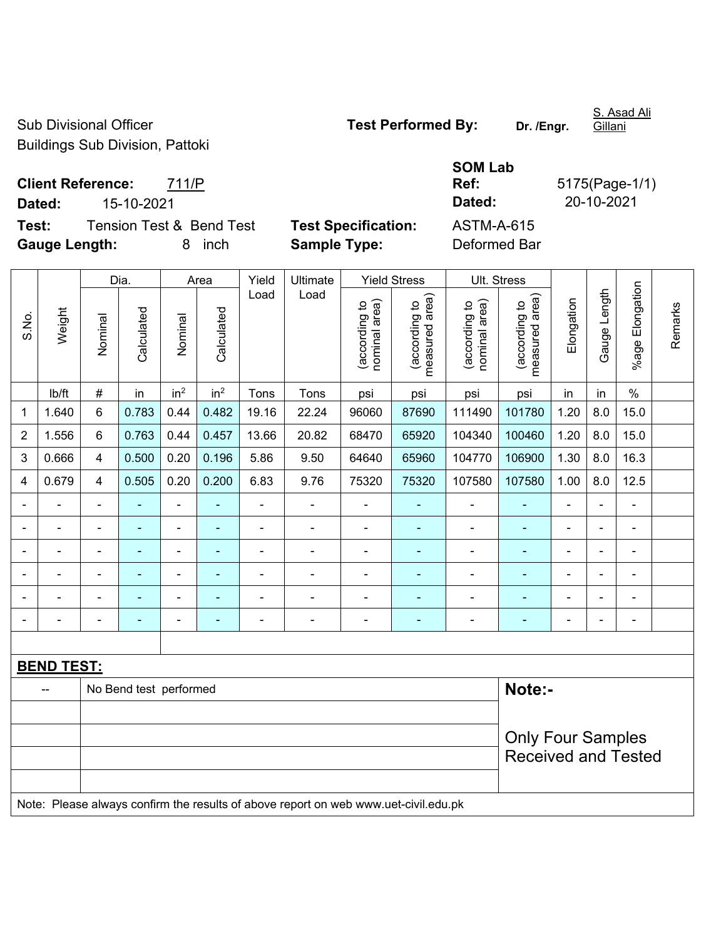Sub Divisional Officer **Test Performed By:** Dr. /Engr. Buildings Sub Division, Pattoki

S. Asad Ali Gillani

**Test:** Tension Test & Bend Test Test Specification: **Gauge Length:** 8 inch **Sample Type:** Deformed Bar

|        |                                     |                            | <b>SOM Lab</b> |                |
|--------|-------------------------------------|----------------------------|----------------|----------------|
|        | <b>Client Reference:</b><br>711/P   |                            | Ref:           | 5175(Page-1/1) |
| Dated: | 15-10-2021                          |                            | Dated:         | 20-10-2021     |
| Test:  | <b>Tension Test &amp; Bend Test</b> | <b>Test Specification:</b> | ASTM-A-615     |                |
|        |                                     |                            |                |                |

|                |                   |                                                        | Dia.                     |                 | Area            | Yield          | Ultimate                                                                            |                                | <b>Yield Stress</b>             |                                | Ult. Stress                     |                |                |                 |         |
|----------------|-------------------|--------------------------------------------------------|--------------------------|-----------------|-----------------|----------------|-------------------------------------------------------------------------------------|--------------------------------|---------------------------------|--------------------------------|---------------------------------|----------------|----------------|-----------------|---------|
| S.No.          | Weight            | Nominal                                                | Calculated               | Nominal         | Calculated      | Load           | Load                                                                                | (according to<br>nominal area) | measured area)<br>(according to | nominal area)<br>(according to | measured area)<br>(according to | Elongation     | Gauge Length   | %age Elongation | Remarks |
|                | lb/ft             | #                                                      | in                       | in <sup>2</sup> | in <sup>2</sup> | Tons           | Tons                                                                                | psi                            | psi                             | psi                            | psi                             | in             | in             | $\%$            |         |
| 1              | 1.640             | 6                                                      | 0.783                    | 0.44            | 0.482           | 19.16          | 22.24                                                                               | 96060                          | 87690                           | 111490                         | 101780                          | 1.20           | 8.0            | 15.0            |         |
| $\overline{2}$ | 1.556             | 6                                                      | 0.763                    | 0.44            | 0.457           | 13.66          | 20.82                                                                               | 68470                          | 65920                           | 104340                         | 100460                          | 1.20           | 8.0            | 15.0            |         |
| 3              | 0.666             | $\overline{4}$                                         | 0.500                    | 0.20            | 0.196           | 5.86           | 9.50                                                                                | 64640                          | 65960                           | 104770                         | 106900                          | 1.30           | 8.0            | 16.3            |         |
| 4              | 0.679             | $\overline{\mathbf{4}}$                                | 0.505                    | 0.20            | 0.200           | 6.83           | 9.76                                                                                | 75320                          | 75320                           | 107580                         | 107580                          | 1.00           | 8.0            | 12.5            |         |
|                |                   | $\blacksquare$                                         | $\blacksquare$           | $\blacksquare$  | $\blacksquare$  | ä,             | $\blacksquare$                                                                      |                                | ٠                               | $\blacksquare$                 | $\blacksquare$                  | $\blacksquare$ |                | ä,              |         |
|                |                   |                                                        | $\blacksquare$           | $\blacksquare$  | ٠               | $\blacksquare$ | $\blacksquare$                                                                      | ÷                              | ٠                               | $\blacksquare$                 |                                 | $\blacksquare$ |                | $\blacksquare$  |         |
|                |                   |                                                        |                          | ÷               |                 |                |                                                                                     | L,                             |                                 |                                |                                 |                |                |                 |         |
| $\overline{a}$ |                   | $\blacksquare$                                         | $\blacksquare$           | ÷               | ÷               | $\overline{a}$ | $\blacksquare$                                                                      | $\blacksquare$                 | ۰                               | $\blacksquare$                 | ٠                               | $\blacksquare$ | $\blacksquare$ | $\blacksquare$  |         |
|                |                   | $\blacksquare$                                         | $\overline{\phantom{0}}$ | -               | $\blacksquare$  | $\blacksquare$ | ÷                                                                                   | $\overline{a}$                 | $\blacksquare$                  | $\blacksquare$                 |                                 | $\blacksquare$ |                | ÷,              |         |
| $\blacksquare$ |                   | $\blacksquare$                                         | ٠                        | ÷               | ٠               | $\blacksquare$ | ÷                                                                                   |                                | $\blacksquare$                  | $\blacksquare$                 | $\overline{\phantom{0}}$        | $\blacksquare$ |                | ÷               |         |
|                |                   |                                                        |                          |                 |                 |                |                                                                                     |                                |                                 |                                |                                 |                |                |                 |         |
|                | <b>BEND TEST:</b> |                                                        |                          |                 |                 |                |                                                                                     |                                |                                 |                                |                                 |                |                |                 |         |
|                |                   |                                                        | No Bend test performed   |                 |                 |                |                                                                                     |                                |                                 |                                | Note:-                          |                |                |                 |         |
|                |                   |                                                        |                          |                 |                 |                |                                                                                     |                                |                                 |                                |                                 |                |                |                 |         |
|                |                   | <b>Only Four Samples</b><br><b>Received and Tested</b> |                          |                 |                 |                |                                                                                     |                                |                                 |                                |                                 |                |                |                 |         |
|                |                   |                                                        |                          |                 |                 |                | Note: Please always confirm the results of above report on web www.uet-civil.edu.pk |                                |                                 |                                |                                 |                |                |                 |         |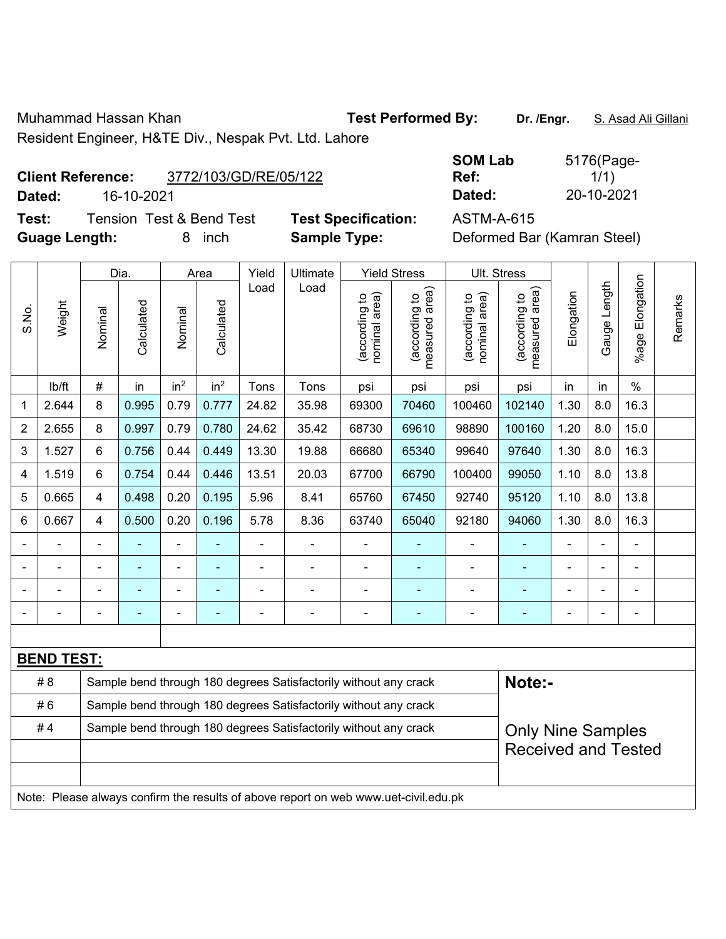Muhammad Hassan Khan **Test Performed By:** Dr. /Engr. S. Asad Ali Gillani Resident Engineer, H&TE Div., Nespak Pvt. Ltd. Lahore

**Client Reference:** 3772/103/GD/RE/05/122

**Dated:** 16-10-2021 **Dated:** 20-10-2021

**Test:** Tension Test & Bend Test **Test Specification:** ASTM-A-615 **Guage Length:** 8 inch **Sample Type:** Deformed Bar (Kamran Steel)

| <b>SOM Lab</b> | 5176(Page- |
|----------------|------------|
| Ref:           | 1/1)       |
| Dated:         | 20-10-2021 |

|                                                                        |                                                                                     |         | Dia.           |                 | Area            | Yield          | Ultimate                                                         |                                | <b>Yield Stress</b>                         |                                | Ult. Stress                     |            |                |                          |         |
|------------------------------------------------------------------------|-------------------------------------------------------------------------------------|---------|----------------|-----------------|-----------------|----------------|------------------------------------------------------------------|--------------------------------|---------------------------------------------|--------------------------------|---------------------------------|------------|----------------|--------------------------|---------|
| S.No.                                                                  | Weight                                                                              | Nominal | Calculated     | Nominal         | Calculated      | Load           | Load                                                             | nominal area)<br>(according to | (according to<br>neasured area)<br>measured | nominal area)<br>(according to | measured area)<br>(according to | Elongation | Gauge Length   | Elongation<br>$%$ age    | Remarks |
|                                                                        | lb/ft                                                                               | #       | in             | in <sup>2</sup> | in <sup>2</sup> | Tons           | Tons                                                             | psi                            | psi                                         | psi                            | psi                             | in         | in             | $\%$                     |         |
| 1                                                                      | 2.644                                                                               | 8       | 0.995          | 0.79            | 0.777           | 24.82          | 35.98                                                            | 69300                          | 70460                                       | 100460                         | 102140                          | 1.30       | 8.0            | 16.3                     |         |
| $\overline{2}$                                                         | 2.655                                                                               | 8       | 0.997          | 0.79            | 0.780           | 24.62          | 35.42                                                            | 68730                          | 69610                                       | 98890                          | 100160                          | 1.20       | 8.0            | 15.0                     |         |
| 3                                                                      | 1.527                                                                               | 6       | 0.756          | 0.44            | 0.449           | 13.30          | 19.88                                                            | 66680                          | 65340                                       | 99640                          | 97640                           | 1.30       | 8.0            | 16.3                     |         |
| 4                                                                      | 1.519                                                                               | 6       | 0.754          | 0.44            | 0.446           | 13.51          | 20.03                                                            | 67700                          | 66790                                       | 100400                         | 99050                           | 1.10       | 8.0            | 13.8                     |         |
| 5                                                                      | 0.665                                                                               | 4       | 0.498          | 0.20            | 0.195           | 5.96           | 8.41                                                             | 65760                          | 67450                                       | 92740                          | 95120                           | 1.10       | 8.0            | 13.8                     |         |
| 6                                                                      | 0.667                                                                               | 4       | 0.500          | 0.20            | 0.196           | 5.78           | 8.36                                                             | 63740                          | 65040                                       | 92180                          | 94060                           | 1.30       | 8.0            | 16.3                     |         |
|                                                                        |                                                                                     |         |                |                 |                 |                |                                                                  |                                |                                             |                                |                                 |            |                |                          |         |
|                                                                        |                                                                                     |         |                | ÷               |                 | Ē,             | $\blacksquare$                                                   | $\blacksquare$                 |                                             | $\blacksquare$                 | ä,                              |            | $\blacksquare$ | $\blacksquare$           |         |
|                                                                        |                                                                                     |         |                | $\blacksquare$  |                 |                | $\blacksquare$                                                   | $\blacksquare$                 |                                             | L,                             | $\blacksquare$                  |            | $\blacksquare$ | $\blacksquare$           |         |
|                                                                        |                                                                                     | ÷,      | $\blacksquare$ | ÷,              | ۰               | $\overline{a}$ | ÷,                                                               | $\blacksquare$                 | $\overline{\phantom{a}}$                    | $\blacksquare$                 | $\blacksquare$                  | ä,         | $\blacksquare$ | $\overline{\phantom{a}}$ |         |
|                                                                        |                                                                                     |         |                |                 |                 |                |                                                                  |                                |                                             |                                |                                 |            |                |                          |         |
|                                                                        | <b>BEND TEST:</b>                                                                   |         |                |                 |                 |                |                                                                  |                                |                                             |                                |                                 |            |                |                          |         |
|                                                                        | # 8                                                                                 |         |                |                 |                 |                | Sample bend through 180 degrees Satisfactorily without any crack |                                |                                             |                                | Note:-                          |            |                |                          |         |
|                                                                        | #6                                                                                  |         |                |                 |                 |                | Sample bend through 180 degrees Satisfactorily without any crack |                                |                                             |                                |                                 |            |                |                          |         |
| Sample bend through 180 degrees Satisfactorily without any crack<br>#4 |                                                                                     |         |                |                 |                 |                |                                                                  |                                |                                             | <b>Only Nine Samples</b>       |                                 |            |                |                          |         |
|                                                                        |                                                                                     |         |                |                 |                 |                |                                                                  |                                |                                             |                                | <b>Received and Tested</b>      |            |                |                          |         |
|                                                                        |                                                                                     |         |                |                 |                 |                |                                                                  |                                |                                             |                                |                                 |            |                |                          |         |
|                                                                        | Note: Please always confirm the results of above report on web www.uet-civil.edu.pk |         |                |                 |                 |                |                                                                  |                                |                                             |                                |                                 |            |                |                          |         |